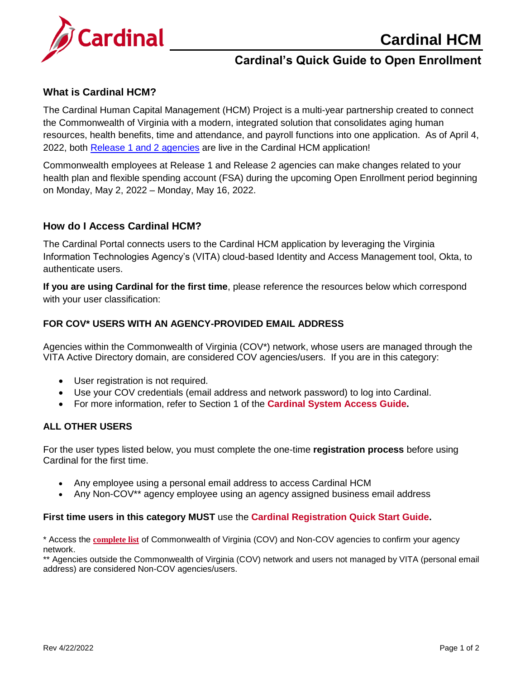

# **Cardinal's Quick Guide to Open Enrollment**

## **What is Cardinal HCM?**

The Cardinal Human Capital Management (HCM) Project is a multi-year partnership created to connect the Commonwealth of Virginia with a modern, integrated solution that consolidates aging human resources, health benefits, time and attendance, and payroll functions into one application. As of April 4, 2022, both [Release 1 and 2 agencies](https://www.cardinalproject.virginia.gov/sites/default/files/2022-03/R1%20and%20R2%20Agencies.pdf) are live in the Cardinal HCM application!

Commonwealth employees at Release 1 and Release 2 agencies can make changes related to your health plan and flexible spending account (FSA) during the upcoming Open Enrollment period beginning on Monday, May 2, 2022 – Monday, May 16, 2022.

## <span id="page-0-0"></span>**How do I Access Cardinal HCM?**

The Cardinal Portal connects users to the Cardinal HCM application by leveraging the Virginia Information Technologies Agency's (VITA) cloud-based Identity and Access Management tool, Okta, to authenticate users.

**If you are using Cardinal for the first time**, please reference the resources below which correspond with your user classification:

## **FOR COV\* USERS WITH AN AGENCY-PROVIDED EMAIL ADDRESS**

Agencies within the Commonwealth of Virginia (COV\*) network, whose users are managed through the VITA Active Directory domain, are considered COV agencies/users. If you are in this category:

- User registration is not required.
- Use your COV credentials (email address and network password) to log into Cardinal.
- For more information, refer to Section 1 of the **[Cardinal System Access Guide.](https://www.cardinalproject.virginia.gov/sites/default/files/2021-10/Cardinal%20System%20Access%20Guide.pdf)**

#### **ALL OTHER USERS**

For the user types listed below, you must complete the one-time **registration process** before using Cardinal for the first time.

- Any employee using a personal email address to access Cardinal HCM
- Any Non-COV<sup>\*\*</sup> agency employee using an agency assigned business email address

## **First time users in this category MUST** use the **[Cardinal Registration Quick Start Guide.](https://www.cardinalproject.virginia.gov/sites/default/files/2022-03/Cardinal%20Registration%20Quick%20Start%20Guide.pdf)**

\* Access the **[complete list](https://www.cardinalproject.virginia.gov/sites/default/files/2021-04/Cardinal%20Agency%20Okta%20Classification.pdf)** of Commonwealth of Virginia (COV) and Non-COV agencies to confirm your agency network.

\*\* Agencies outside the Commonwealth of Virginia (COV) network and users not managed by VITA (personal email address) are considered Non-COV agencies/users.